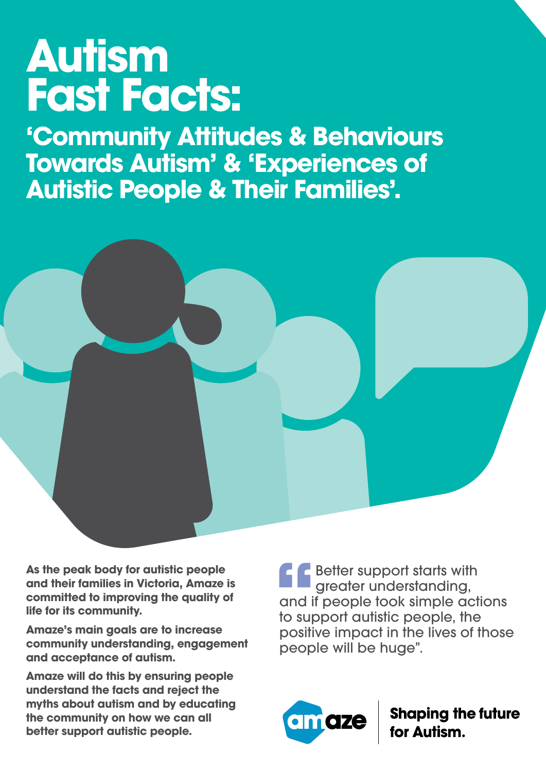## **Autism Fast Facts:**

**'Community Attitudes & Behaviours Towards Autism' & 'Experiences of Autistic People & Their Families'.**



**As the peak body for autistic people and their families in Victoria, Amaze is committed to improving the quality of life for its community.** 

**Amaze's main goals are to increase community understanding, engagement and acceptance of autism.** 

**Amaze will do this by ensuring people understand the facts and reject the myths about autism and by educating the community on how we can all better support autistic people.**

**f**<br>and if<br>to sup **Better support starts with** greater understanding, and if people took simple actions to support autistic people, the positive impact in the lives of those people will be huge".



**Shaping the future<br>for Autism.**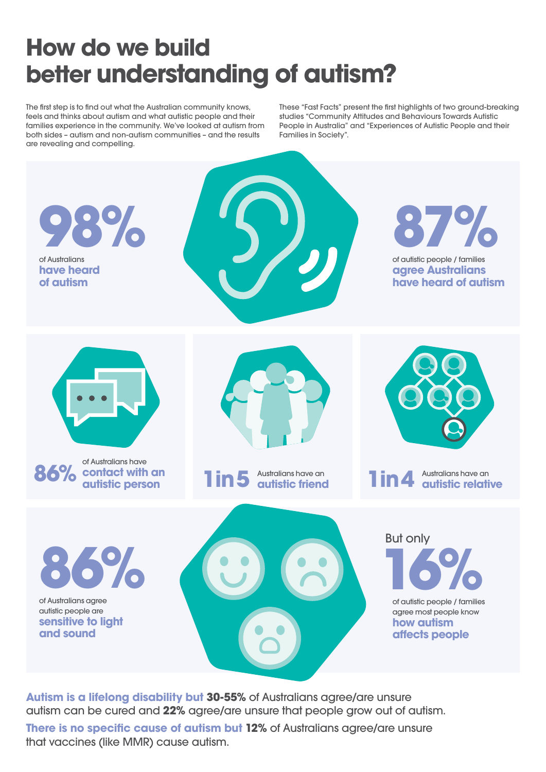## **How do we build better understanding of autism?**

The first step is to find out what the Australian community knows, feels and thinks about autism and what autistic people and their families experience in the community. We've looked at autism from both sides – autism and non-autism communities – and the results are revealing and compelling.

These "Fast Facts" present the first highlights of two ground-breaking studies "Community Attitudes and Behaviours Towards Autistic People in Australia" and "Experiences of Autistic People and their Families in Society".



**Autism is a lifelong disability but 30-55%** of Australians agree/are unsure autism can be cured and **22%** agree/are unsure that people grow out of autism.

**There is no specific cause of autism but 12% of Australians agree/are unsure** that vaccines (like MMR) cause autism.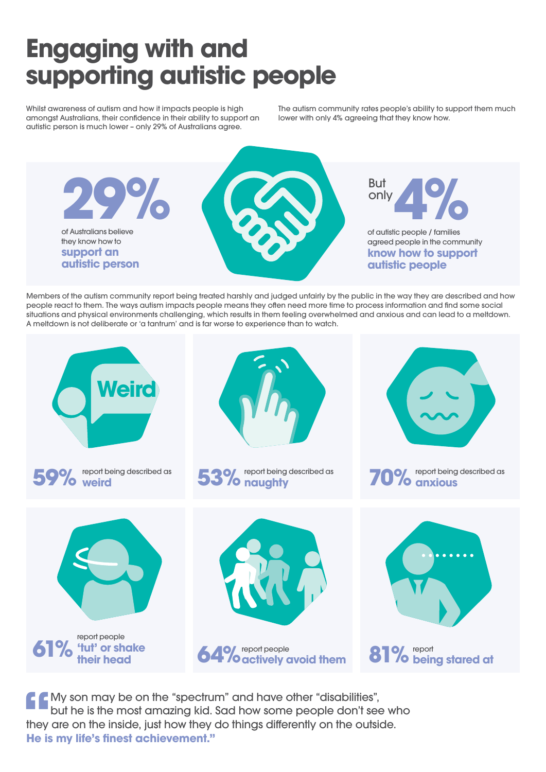## **Engaging with and supporting autistic people**

Whilst awareness of autism and how it impacts people is high amongst Australians, their confidence in their ability to support an autistic person is much lower – only 29% of Australians agree.

The autism community rates people's ability to support them much lower with only 4% agreeing that they know how.



Members of the autism community report being treated harshly and judged unfairly by the public in the way they are described and how people react to them. The ways autism impacts people means they often need more time to process information and find some social situations and physical environments challenging, which results in them feeling overwhelmed and anxious and can lead to a meltdown. A meltdown is not deliberate or 'a tantrum' and is far worse to experience than to watch.



**f**<br>they<br>**He** is My son may be on the "spectrum" and have other "disabilities", but he is the most amazing kid. Sad how some people don't see who they are on the inside, just how they do things differently on the outside. **He is my life's finest achievement."**